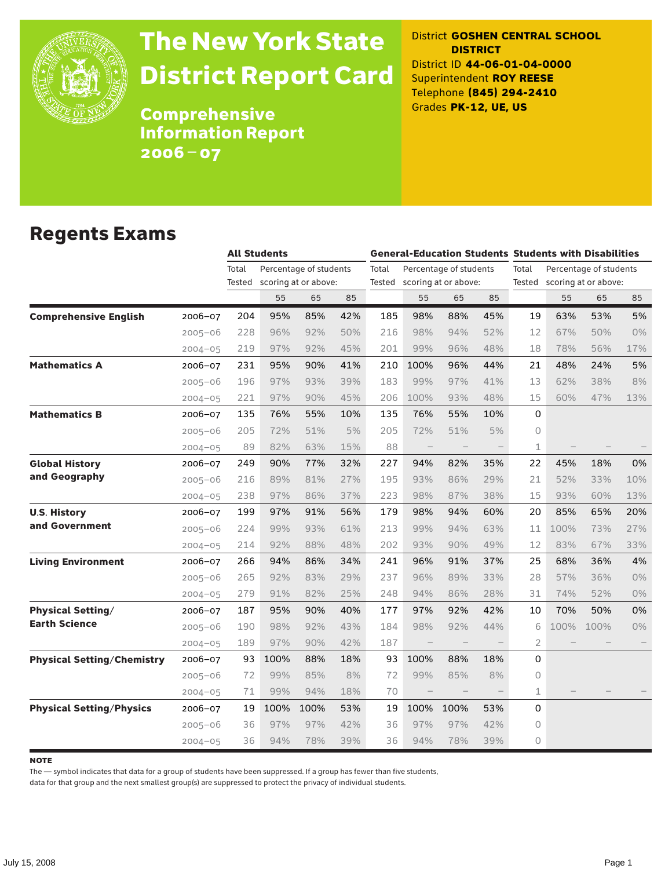

# The New York State District Report Card

District **GOSHEN CENTRAL SCHOOL DISTRICT** District ID **44-06-01-04-0000** Superintendent **ROY REESE** Telephone **(845) 294-2410** Grades **PK-12, UE, US**

Comprehensive Information Report 2006–07

#### Regents Exams

|                                   |             | <b>All Students</b> |      |                                                | <b>General-Education Students Students with Disabilities</b> |       |                             |                        |     |                |                                                       |      |       |
|-----------------------------------|-------------|---------------------|------|------------------------------------------------|--------------------------------------------------------------|-------|-----------------------------|------------------------|-----|----------------|-------------------------------------------------------|------|-------|
|                                   |             | Total<br>Tested     |      | Percentage of students<br>scoring at or above: |                                                              | Total | Tested scoring at or above: | Percentage of students |     | Total          | Percentage of students<br>Tested scoring at or above: |      |       |
|                                   |             |                     | 55   | 65                                             | 85                                                           |       | 55                          | 65                     | 85  |                | 55                                                    | 65   | 85    |
| <b>Comprehensive English</b>      | 2006-07     | 204                 | 95%  | 85%                                            | 42%                                                          | 185   | 98%                         | 88%                    | 45% | 19             | 63%                                                   | 53%  | 5%    |
|                                   | $2005 - 06$ | 228                 | 96%  | 92%                                            | 50%                                                          | 216   | 98%                         | 94%                    | 52% | 12             | 67%                                                   | 50%  | $0\%$ |
|                                   | $2004 - 05$ | 219                 | 97%  | 92%                                            | 45%                                                          | 201   | 99%                         | 96%                    | 48% | 18             | 78%                                                   | 56%  | 17%   |
| <b>Mathematics A</b>              | $2006 - 07$ | 231                 | 95%  | 90%                                            | 41%                                                          | 210   | 100%                        | 96%                    | 44% | 21             | 48%                                                   | 24%  | 5%    |
|                                   | $2005 - 06$ | 196                 | 97%  | 93%                                            | 39%                                                          | 183   | 99%                         | 97%                    | 41% | 13             | 62%                                                   | 38%  | 8%    |
|                                   | $2004 - 05$ | 221                 | 97%  | 90%                                            | 45%                                                          | 206   | 100%                        | 93%                    | 48% | 15             | 60%                                                   | 47%  | 13%   |
| <b>Mathematics B</b>              | 2006-07     | 135                 | 76%  | 55%                                            | 10%                                                          | 135   | 76%                         | 55%                    | 10% | 0              |                                                       |      |       |
|                                   | $2005 - 06$ | 205                 | 72%  | 51%                                            | 5%                                                           | 205   | 72%                         | 51%                    | 5%  | 0              |                                                       |      |       |
|                                   | $2004 - 05$ | 89                  | 82%  | 63%                                            | 15%                                                          | 88    | $\qquad \qquad -$           |                        |     | $\perp$        |                                                       |      |       |
| <b>Global History</b>             | 2006-07     | 249                 | 90%  | 77%                                            | 32%                                                          | 227   | 94%                         | 82%                    | 35% | 22             | 45%                                                   | 18%  | 0%    |
| and Geography                     | $2005 - 06$ | 216                 | 89%  | 81%                                            | 27%                                                          | 195   | 93%                         | 86%                    | 29% | 21             | 52%                                                   | 33%  | 10%   |
|                                   | $2004 - 05$ | 238                 | 97%  | 86%                                            | 37%                                                          | 223   | 98%                         | 87%                    | 38% | 15             | 93%                                                   | 60%  | 13%   |
| <b>U.S. History</b>               | 2006-07     | 199                 | 97%  | 91%                                            | 56%                                                          | 179   | 98%                         | 94%                    | 60% | 20             | 85%                                                   | 65%  | 20%   |
| and Government                    | $2005 - 06$ | 224                 | 99%  | 93%                                            | 61%                                                          | 213   | 99%                         | 94%                    | 63% | 11             | 100%                                                  | 73%  | 27%   |
|                                   | $2004 - 05$ | 214                 | 92%  | 88%                                            | 48%                                                          | 202   | 93%                         | 90%                    | 49% | 12             | 83%                                                   | 67%  | 33%   |
| <b>Living Environment</b>         | 2006-07     | 266                 | 94%  | 86%                                            | 34%                                                          | 241   | 96%                         | 91%                    | 37% | 25             | 68%                                                   | 36%  | 4%    |
|                                   | $2005 - 06$ | 265                 | 92%  | 83%                                            | 29%                                                          | 237   | 96%                         | 89%                    | 33% | 28             | 57%                                                   | 36%  | 0%    |
|                                   | $2004 - 05$ | 279                 | 91%  | 82%                                            | 25%                                                          | 248   | 94%                         | 86%                    | 28% | 31             | 74%                                                   | 52%  | 0%    |
| <b>Physical Setting/</b>          | 2006-07     | 187                 | 95%  | 90%                                            | 40%                                                          | 177   | 97%                         | 92%                    | 42% | 10             | 70%                                                   | 50%  | 0%    |
| <b>Earth Science</b>              | $2005 - 06$ | 190                 | 98%  | 92%                                            | 43%                                                          | 184   | 98%                         | 92%                    | 44% | 6              | 100%                                                  | 100% | 0%    |
|                                   | $2004 - 05$ | 189                 | 97%  | 90%                                            | 42%                                                          | 187   | $\overline{\phantom{0}}$    |                        |     | $\overline{2}$ |                                                       |      |       |
| <b>Physical Setting/Chemistry</b> | 2006-07     | 93                  | 100% | 88%                                            | 18%                                                          | 93    | 100%                        | 88%                    | 18% | 0              |                                                       |      |       |
|                                   | $2005 - 06$ | 72                  | 99%  | 85%                                            | 8%                                                           | 72    | 99%                         | 85%                    | 8%  | 0              |                                                       |      |       |
|                                   | $2004 - 05$ | 71                  | 99%  | 94%                                            | 18%                                                          | 70    |                             |                        |     | $\mathbf 1$    |                                                       |      |       |
| <b>Physical Setting/Physics</b>   | 2006-07     | 19                  | 100% | 100%                                           | 53%                                                          | 19    | 100%                        | 100%                   | 53% | 0              |                                                       |      |       |
|                                   | $2005 - 06$ | 36                  | 97%  | 97%                                            | 42%                                                          | 36    | 97%                         | 97%                    | 42% | 0              |                                                       |      |       |
|                                   | $2004 - 05$ | 36                  | 94%  | 78%                                            | 39%                                                          | 36    | 94%                         | 78%                    | 39% | $\circ$        |                                                       |      |       |

**NOTE** 

The — symbol indicates that data for a group of students have been suppressed. If a group has fewer than five students,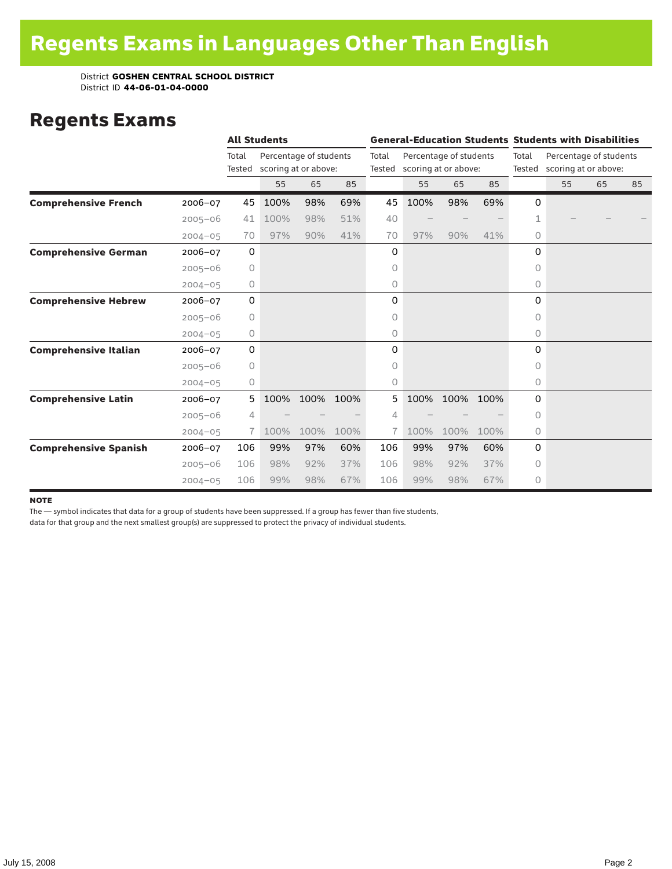### Regents Exams

|                              |             |                 | <b>All Students</b> |                                                |      |                 | <b>General-Education Students Students with Disabilities</b> |                        |      |                 |                                                |    |    |  |
|------------------------------|-------------|-----------------|---------------------|------------------------------------------------|------|-----------------|--------------------------------------------------------------|------------------------|------|-----------------|------------------------------------------------|----|----|--|
|                              |             | Total<br>Tested |                     | Percentage of students<br>scoring at or above: |      | Total<br>Tested | scoring at or above:                                         | Percentage of students |      | Total<br>Tested | Percentage of students<br>scoring at or above: |    |    |  |
|                              |             |                 | 55                  | 65                                             | 85   |                 | 55                                                           | 65                     | 85   |                 | 55                                             | 65 | 85 |  |
| <b>Comprehensive French</b>  | 2006-07     | 45              | 100%                | 98%                                            | 69%  | 45              | 100%                                                         | 98%                    | 69%  | 0               |                                                |    |    |  |
|                              | $2005 - 06$ | 41              | 100%                | 98%                                            | 51%  | 40              |                                                              |                        |      |                 |                                                |    |    |  |
|                              | $2004 - 05$ | 70              | 97%                 | 90%                                            | 41%  | 70              | 97%                                                          | 90%                    | 41%  | 0               |                                                |    |    |  |
| <b>Comprehensive German</b>  | 2006-07     | $\mathbf 0$     |                     |                                                |      | 0               |                                                              |                        |      | 0               |                                                |    |    |  |
|                              | $2005 - 06$ | 0               |                     |                                                |      | 0               |                                                              |                        |      | 0               |                                                |    |    |  |
|                              | $2004 - 05$ | 0               |                     |                                                |      | 0               |                                                              |                        |      | 0               |                                                |    |    |  |
| <b>Comprehensive Hebrew</b>  | $2006 - 07$ | 0               |                     |                                                |      | 0               |                                                              |                        |      | 0               |                                                |    |    |  |
|                              | $2005 - 06$ | $\circ$         |                     |                                                |      | 0               |                                                              |                        |      | 0               |                                                |    |    |  |
|                              | $2004 - 05$ | 0               |                     |                                                |      | 0               |                                                              |                        |      | $\circ$         |                                                |    |    |  |
| <b>Comprehensive Italian</b> | 2006-07     | 0               |                     |                                                |      | 0               |                                                              |                        |      | 0               |                                                |    |    |  |
|                              | $2005 - 06$ | 0               |                     |                                                |      | 0               |                                                              |                        |      | $\Omega$        |                                                |    |    |  |
|                              | $2004 - 05$ | 0               |                     |                                                |      | 0               |                                                              |                        |      | 0               |                                                |    |    |  |
| <b>Comprehensive Latin</b>   | $2006 - 07$ | 5               | 100%                | 100%                                           | 100% | 5               | 100%                                                         | 100%                   | 100% | 0               |                                                |    |    |  |
|                              | $2005 - 06$ | 4               |                     |                                                |      | 4               |                                                              |                        |      | 0               |                                                |    |    |  |
|                              | $2004 - 05$ | 7.              | 100%                | 100%                                           | 100% | 7.              | 100%                                                         | 100%                   | 100% | 0               |                                                |    |    |  |
| <b>Comprehensive Spanish</b> | $2006 - 07$ | 106             | 99%                 | 97%                                            | 60%  | 106             | 99%                                                          | 97%                    | 60%  | 0               |                                                |    |    |  |
|                              | $2005 - 06$ | 106             | 98%                 | 92%                                            | 37%  | 106             | 98%                                                          | 92%                    | 37%  | 0               |                                                |    |    |  |
|                              | $2004 - 05$ | 106             | 99%                 | 98%                                            | 67%  | 106             | 99%                                                          | 98%                    | 67%  | $\circ$         |                                                |    |    |  |

#### **NOTE**

The — symbol indicates that data for a group of students have been suppressed. If a group has fewer than five students,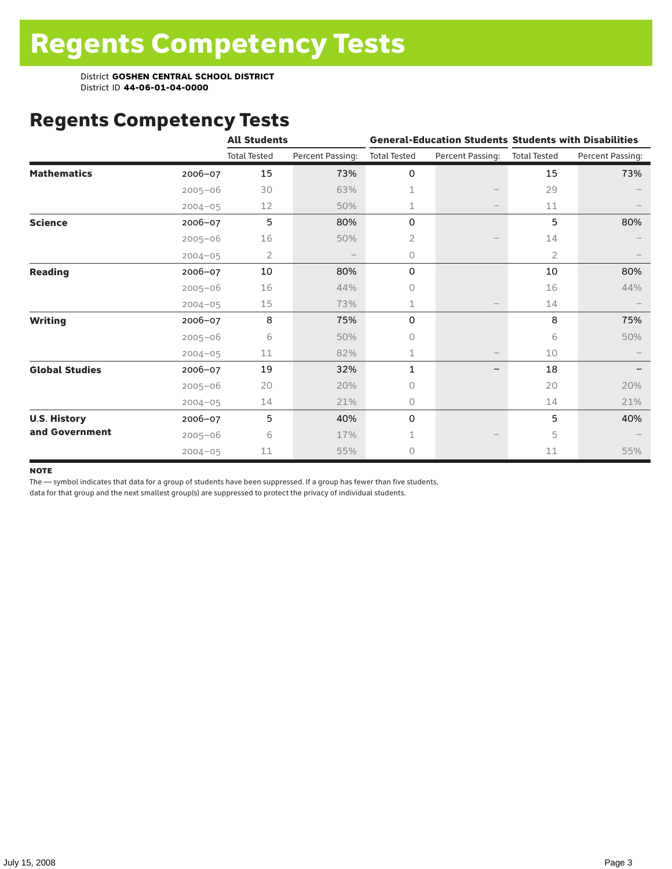## Regents Competency Tests

|                       |             | <b>All Students</b> |                  |                     |                   | <b>General-Education Students Students with Disabilities</b> |                  |  |
|-----------------------|-------------|---------------------|------------------|---------------------|-------------------|--------------------------------------------------------------|------------------|--|
|                       |             | <b>Total Tested</b> | Percent Passing: | <b>Total Tested</b> | Percent Passing:  | <b>Total Tested</b>                                          | Percent Passing: |  |
| <b>Mathematics</b>    | $2006 - 07$ | 15                  | 73%              | 0                   |                   | 15                                                           | 73%              |  |
|                       | $2005 - 06$ | 30                  | 63%              | 1                   |                   | 29                                                           |                  |  |
|                       | $2004 - 05$ | 12                  | 50%              | 1                   | $\qquad \qquad -$ | 11                                                           |                  |  |
| <b>Science</b>        | 2006-07     | 5                   | 80%              | 0                   |                   | 5                                                            | 80%              |  |
|                       | $2005 - 06$ | 16                  | 50%              | 2                   |                   | 14                                                           |                  |  |
|                       | $2004 - 05$ | 2                   |                  | 0                   |                   | $\overline{2}$                                               |                  |  |
| <b>Reading</b>        | 2006-07     | 10                  | 80%              | 0                   |                   | 10                                                           | 80%              |  |
|                       | $2005 - 06$ | 16                  | 44%              | 0                   |                   | 16                                                           | 44%              |  |
|                       | $2004 - 05$ | 15                  | 73%              | $\mathbf 1$         |                   | 14                                                           |                  |  |
| <b>Writing</b>        | 2006-07     | 8                   | 75%              | 0                   |                   | 8                                                            | 75%              |  |
|                       | $2005 - 06$ | 6                   | 50%              | 0                   |                   | 6                                                            | 50%              |  |
|                       | $2004 - 05$ | 11                  | 82%              | $\mathbf{1}$        | $\qquad \qquad -$ | 10                                                           |                  |  |
| <b>Global Studies</b> | 2006-07     | 19                  | 32%              | 1                   |                   | 18                                                           |                  |  |
|                       | $2005 - 06$ | 20                  | 20%              | 0                   |                   | 20                                                           | 20%              |  |
|                       | $2004 - 05$ | 14                  | 21%              | 0                   |                   | 14                                                           | 21%              |  |
| <b>U.S. History</b>   | 2006-07     | 5                   | 40%              | 0                   |                   | 5                                                            | 40%              |  |
| and Government        | $2005 - 06$ | 6                   | 17%              | 1                   |                   | 5                                                            |                  |  |
|                       | $2004 - 05$ | 11                  | 55%              | 0                   |                   | 11                                                           | 55%              |  |

#### **NOTE**

The — symbol indicates that data for a group of students have been suppressed. If a group has fewer than five students,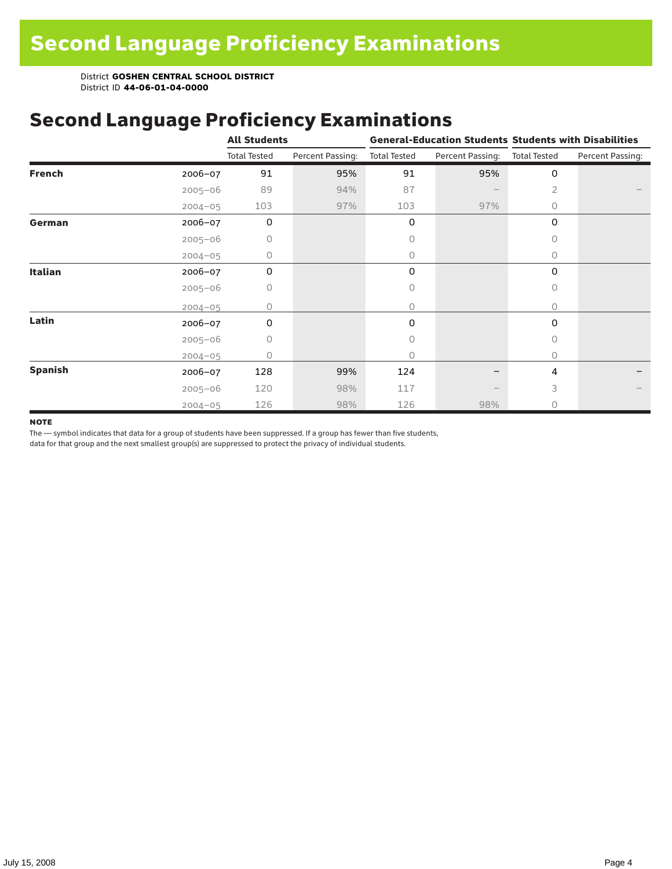# Second Language Proficiency Examinations

|                |             | <b>All Students</b> |                  |                     |                  | <b>General-Education Students Students with Disabilities</b> |                  |  |
|----------------|-------------|---------------------|------------------|---------------------|------------------|--------------------------------------------------------------|------------------|--|
|                |             | <b>Total Tested</b> | Percent Passing: | <b>Total Tested</b> | Percent Passing: | <b>Total Tested</b>                                          | Percent Passing: |  |
| <b>French</b>  | 2006-07     | 91                  | 95%              | 91                  | 95%              | $\mathbf 0$                                                  |                  |  |
|                | $2005 - 06$ | 89                  | 94%              | 87                  |                  | 2                                                            |                  |  |
|                | $2004 - 05$ | 103                 | 97%              | 103                 | 97%              | 0                                                            |                  |  |
| German         | 2006-07     | 0                   |                  | 0                   |                  | 0                                                            |                  |  |
|                | $2005 - 06$ | 0                   |                  | 0                   |                  | 0                                                            |                  |  |
|                | $2004 - 05$ | 0                   |                  | 0                   |                  | $\circ$                                                      |                  |  |
| <b>Italian</b> | 2006-07     | 0                   |                  | 0                   |                  | 0                                                            |                  |  |
|                | $2005 - 06$ | 0                   |                  | 0                   |                  | 0                                                            |                  |  |
|                | $2004 - 05$ | 0                   |                  | 0                   |                  | 0                                                            |                  |  |
| Latin          | 2006-07     | 0                   |                  | 0                   |                  | $\mathbf 0$                                                  |                  |  |
|                | $2005 - 06$ | 0                   |                  | 0                   |                  | 0                                                            |                  |  |
|                | $2004 - 05$ | 0                   |                  | 0                   |                  | 0                                                            |                  |  |
| <b>Spanish</b> | 2006-07     | 128                 | 99%              | 124                 |                  | 4                                                            |                  |  |
|                | $2005 - 06$ | 120                 | 98%              | 117                 |                  | 3                                                            |                  |  |
|                | $2004 - 05$ | 126                 | 98%              | 126                 | 98%              | 0                                                            |                  |  |

#### **NOTE**

The — symbol indicates that data for a group of students have been suppressed. If a group has fewer than five students,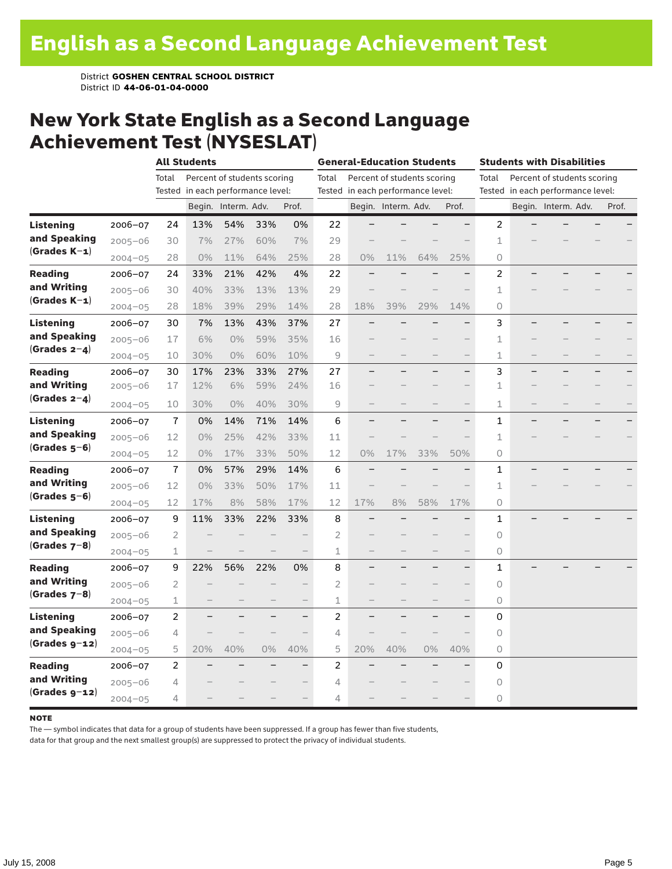### New York State English as a Second Language Achievement Test (NYSESLAT)

|                  |             |                | <b>All Students</b>               |                     |                             | <b>General-Education Students</b> |                |                                   |                     | <b>Students with Disabilities</b> |                          |             |                          |                                   |  |       |
|------------------|-------------|----------------|-----------------------------------|---------------------|-----------------------------|-----------------------------------|----------------|-----------------------------------|---------------------|-----------------------------------|--------------------------|-------------|--------------------------|-----------------------------------|--|-------|
|                  |             | Total          |                                   |                     | Percent of students scoring |                                   | Total          | Percent of students scoring       |                     |                                   |                          | Total       |                          | Percent of students scoring       |  |       |
|                  |             |                | Tested in each performance level: |                     |                             |                                   |                | Tested in each performance level: |                     |                                   |                          |             |                          | Tested in each performance level: |  |       |
|                  |             |                |                                   | Begin. Interm. Adv. |                             | Prof.                             |                |                                   | Begin. Interm. Adv. |                                   | Prof.                    |             |                          | Begin. Interm. Adv.               |  | Prof. |
| <b>Listening</b> | $2006 - 07$ | 24             | 13%                               | 54%                 | 33%                         | 0%                                | 22             |                                   |                     |                                   |                          | 2           |                          |                                   |  |       |
| and Speaking     | $2005 - 06$ | 30             | 7%                                | 27%                 | 60%                         | 7%                                | 29             |                                   |                     |                                   |                          | 1           |                          |                                   |  |       |
| $(Grades K-1)$   | $2004 - 05$ | 28             | $0\%$                             | 11%                 | 64%                         | 25%                               | 28             | 0%                                | 11%                 | 64%                               | 25%                      | 0           |                          |                                   |  |       |
| <b>Reading</b>   | $2006 - 07$ | 24             | 33%                               | 21%                 | 42%                         | 4%                                | 22             |                                   |                     |                                   |                          | 2           |                          |                                   |  |       |
| and Writing      | $2005 - 06$ | 30             | 40%                               | 33%                 | 13%                         | 13%                               | 29             |                                   |                     |                                   |                          | 1           |                          |                                   |  |       |
| (Grades $K-1$ )  | $2004 - 05$ | 28             | 18%                               | 39%                 | 29%                         | 14%                               | 28             | 18%                               | 39%                 | 29%                               | 14%                      | $\circ$     |                          |                                   |  |       |
| Listening        | $2006 - 07$ | 30             | 7%                                | 13%                 | 43%                         | 37%                               | 27             |                                   |                     |                                   |                          | 3           |                          |                                   |  |       |
| and Speaking     | $2005 - 06$ | 17             | 6%                                | 0%                  | 59%                         | 35%                               | 16             |                                   |                     |                                   |                          | 1           |                          |                                   |  |       |
| $(Grades 2-4)$   | $2004 - 05$ | 10             | 30%                               | 0%                  | 60%                         | 10%                               | 9              |                                   |                     | $\overline{\phantom{0}}$          | $\qquad \qquad -$        | $\mathbf 1$ | $\overline{\phantom{0}}$ |                                   |  |       |
| <b>Reading</b>   | $2006 - 07$ | 30             | 17%                               | 23%                 | 33%                         | 27%                               | 27             |                                   |                     |                                   | $\overline{\phantom{0}}$ | 3           |                          |                                   |  |       |
| and Writing      | $2005 - 06$ | 17             | 12%                               | 6%                  | 59%                         | 24%                               | 16             |                                   |                     |                                   |                          | 1           |                          |                                   |  |       |
| $(Grades 2-4)$   | $2004 - 05$ | 10             | 30%                               | $0\%$               | 40%                         | 30%                               | 9              |                                   |                     |                                   |                          | $\mathbf 1$ |                          |                                   |  |       |
| <b>Listening</b> | $2006 - 07$ | $\overline{1}$ | 0%                                | 14%                 | 71%                         | 14%                               | 6              |                                   |                     |                                   | $\overline{\phantom{0}}$ | 1           |                          |                                   |  |       |
| and Speaking     | $2005 - 06$ | 12             | 0%                                | 25%                 | 42%                         | 33%                               | 11             |                                   |                     |                                   |                          | $\mathbf 1$ |                          |                                   |  |       |
| $(Grades 5-6)$   | $2004 - 05$ | 12             | $0\%$                             | 17%                 | 33%                         | 50%                               | 12             | 0%                                | 17%                 | 33%                               | 50%                      | 0           |                          |                                   |  |       |
| <b>Reading</b>   | $2006 - 07$ | $\overline{1}$ | 0%                                | 57%                 | 29%                         | 14%                               | 6              |                                   |                     |                                   |                          | 1           |                          |                                   |  |       |
| and Writing      | $2005 - 06$ | 12             | $0\%$                             | 33%                 | 50%                         | 17%                               | 11             |                                   |                     |                                   |                          | 1           |                          |                                   |  |       |
| $(Grades 5-6)$   | $2004 - 05$ | 12             | 17%                               | 8%                  | 58%                         | 17%                               | 12             | 17%                               | 8%                  | 58%                               | 17%                      | 0           |                          |                                   |  |       |
| Listening        | $2006 - 07$ | 9              | 11%                               | 33%                 | 22%                         | 33%                               | 8              |                                   |                     |                                   |                          | 1           |                          |                                   |  |       |
| and Speaking     | $2005 - 06$ | 2              |                                   |                     |                             |                                   | $\overline{2}$ |                                   |                     |                                   |                          | $\circ$     |                          |                                   |  |       |
| (Grades $7-8$ )  | $2004 - 05$ | 1              |                                   |                     |                             |                                   | 1              |                                   |                     |                                   |                          | 0           |                          |                                   |  |       |
| <b>Reading</b>   | $2006 - 07$ | 9              | 22%                               | 56%                 | 22%                         | 0%                                | 8              |                                   |                     |                                   | $\overline{\phantom{0}}$ | 1           |                          |                                   |  |       |
| and Writing      | $2005 - 06$ | 2              |                                   |                     |                             |                                   | $\overline{2}$ |                                   |                     |                                   |                          | 0           |                          |                                   |  |       |
| (Grades $7-8$ )  | $2004 - 05$ | 1              |                                   |                     |                             | $\qquad \qquad -$                 | 1              |                                   |                     |                                   | $\qquad \qquad -$        | 0           |                          |                                   |  |       |
| <b>Listening</b> | $2006 - 07$ | 2              |                                   |                     |                             | $\overline{\phantom{0}}$          | 2              |                                   |                     |                                   | -                        | 0           |                          |                                   |  |       |
| and Speaking     | $2005 - 06$ | 4              |                                   |                     |                             |                                   | 4              |                                   |                     |                                   |                          | $\circ$     |                          |                                   |  |       |
| $(Grades g-12)$  | $2004 - 05$ | 5              | 20%                               | 40%                 | 0%                          | 40%                               | 5              | 20%                               | 40%                 | 0%                                | 40%                      | $\circ$     |                          |                                   |  |       |
| <b>Reading</b>   | 2006-07     | 2              |                                   |                     |                             | $\overline{\phantom{0}}$          | $\overline{2}$ |                                   |                     |                                   |                          | 0           |                          |                                   |  |       |
| and Writing      | $2005 - 06$ | 4              |                                   |                     |                             |                                   | 4              |                                   |                     |                                   |                          | 0           |                          |                                   |  |       |
| $(Grades g-12)$  | $2004 - 05$ | 4              |                                   |                     |                             | $\overline{\phantom{0}}$          | 4              |                                   |                     |                                   |                          | $\circ$     |                          |                                   |  |       |

#### **NOTE**

The — symbol indicates that data for a group of students have been suppressed. If a group has fewer than five students,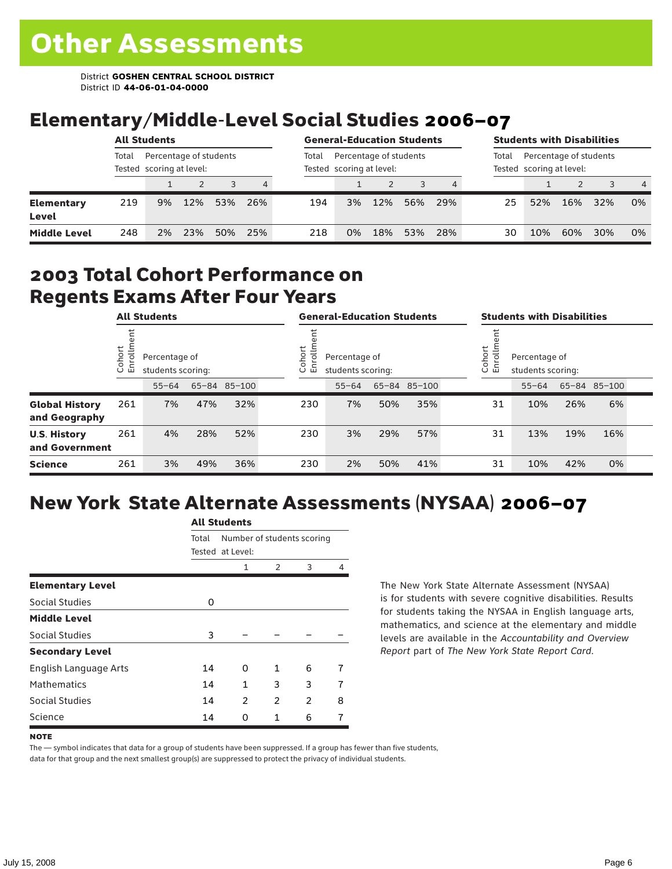## Elementary/Middle-Level Social Studies 2006–07

| <b>All Students</b>                                         |     |    |       |                                                    |     | <b>General-Education Students</b> |    |       |                                                    |     | <b>Students with Disabilities</b> |     |     |     |                |
|-------------------------------------------------------------|-----|----|-------|----------------------------------------------------|-----|-----------------------------------|----|-------|----------------------------------------------------|-----|-----------------------------------|-----|-----|-----|----------------|
| Percentage of students<br>Total<br>Tested scoring at level: |     |    | Total | Percentage of students<br>Tested scoring at level: |     |                                   |    | Total | Percentage of students<br>Tested scoring at level: |     |                                   |     |     |     |                |
|                                                             |     |    |       |                                                    | 4   |                                   |    |       |                                                    |     |                                   |     |     |     | $\overline{4}$ |
| <b>Elementary</b><br>Level                                  | 219 | 9% | 12%   | 53%                                                | 26% | 194                               | 3% | 12%   | 56%                                                | 29% | 25                                | 52% | 16% | 32% | 0%             |
| <b>Middle Level</b>                                         | 248 | 2% | 23%   | 50%                                                | 25% | 218                               | 0% | 18%   | 53%                                                | 28% | 30                                | 10% | 60% | 30% | 0%             |

#### 2003 Total Cohort Performance on Regents Exams After Four Years

| <b>All Students</b>                    |                        |           | <b>General-Education Students</b>  |              |  |                                                        | <b>Students with Disabilities</b> |     |              |  |                                                               |           |     |              |  |
|----------------------------------------|------------------------|-----------|------------------------------------|--------------|--|--------------------------------------------------------|-----------------------------------|-----|--------------|--|---------------------------------------------------------------|-----------|-----|--------------|--|
|                                        | Cohort<br>$\circ$<br>屲 |           | Percentage of<br>students scoring: |              |  | Cohort<br>Percentage of<br>ō<br>멷<br>students scoring: |                                   |     |              |  | Cohort<br>$=$<br>Percentage of<br>9<br>문<br>students scoring: |           |     |              |  |
|                                        |                        | $55 - 64$ |                                    | 65-84 85-100 |  |                                                        | $55 - 64$                         |     | 65-84 85-100 |  |                                                               | $55 - 64$ |     | 65-84 85-100 |  |
| <b>Global History</b><br>and Geography | 261                    | 7%        | 47%                                | 32%          |  | 230                                                    | 7%                                | 50% | 35%          |  | 31                                                            | 10%       | 26% | 6%           |  |
| <b>U.S. History</b><br>and Government  | 261                    | 4%        | 28%                                | 52%          |  | 230                                                    | 3%                                | 29% | 57%          |  | 31                                                            | 13%       | 19% | 16%          |  |
| <b>Science</b>                         | 261                    | 3%        | 49%                                | 36%          |  | 230                                                    | 2%                                | 50% | 41%          |  | 31                                                            | 10%       | 42% | 0%           |  |

## New York State Alternate Assessments (NYSAA) 2006–07

|                         |       | AIL SLUUCIILS              |   |   |   |  |  |  |  |
|-------------------------|-------|----------------------------|---|---|---|--|--|--|--|
|                         | Total | Number of students scoring |   |   |   |  |  |  |  |
|                         |       | Tested at Level:           |   |   |   |  |  |  |  |
|                         |       | 1                          | 2 | 3 | 4 |  |  |  |  |
| <b>Elementary Level</b> |       |                            |   |   |   |  |  |  |  |
| Social Studies          | 0     |                            |   |   |   |  |  |  |  |
| <b>Middle Level</b>     |       |                            |   |   |   |  |  |  |  |
| Social Studies          | 3     |                            |   |   |   |  |  |  |  |
| <b>Secondary Level</b>  |       |                            |   |   |   |  |  |  |  |
| English Language Arts   | 14    | O                          | 1 | 6 | 7 |  |  |  |  |
| <b>Mathematics</b>      | 14    | 1                          | 3 | 3 | 7 |  |  |  |  |
| Social Studies          | 14    | $\overline{2}$             | 2 | 2 | 8 |  |  |  |  |
| Science                 | 14    | O                          | 1 | 6 |   |  |  |  |  |
|                         |       |                            |   |   |   |  |  |  |  |

All C<sub>tude</sub>

The New York State Alternate Assessment (NYSAA) is for students with severe cognitive disabilities. Results for students taking the NYSAA in English language arts, mathematics, and science at the elementary and middle levels are available in the *Accountability and Overview Report* part of *The New York State Report Card*.

#### **NOTE**

The — symbol indicates that data for a group of students have been suppressed. If a group has fewer than five students, data for that group and the next smallest group(s) are suppressed to protect the privacy of individual students.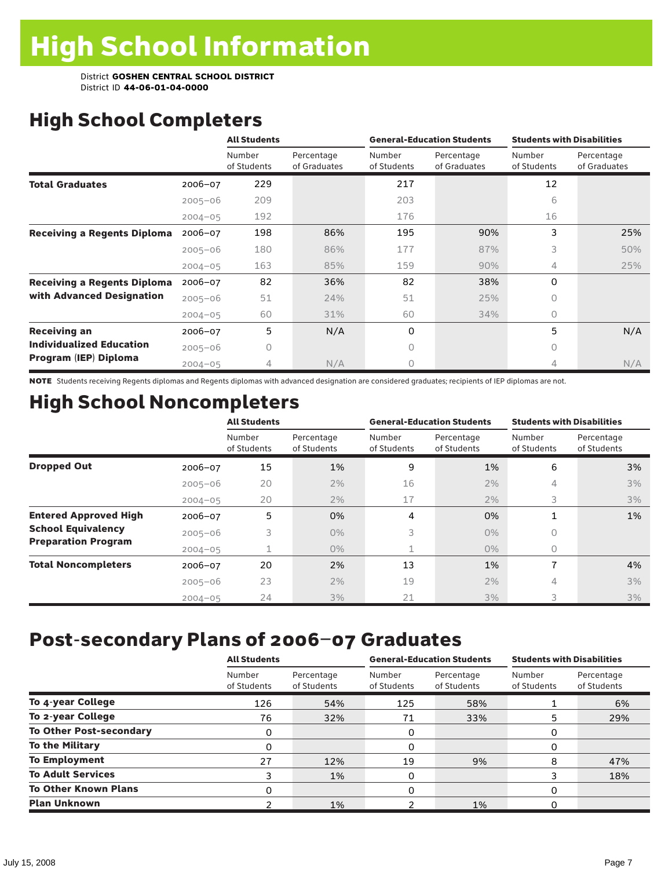# High School Completers

|                                    |             | <b>All Students</b>   |                            |                       | <b>General-Education Students</b> | <b>Students with Disabilities</b> |                            |  |
|------------------------------------|-------------|-----------------------|----------------------------|-----------------------|-----------------------------------|-----------------------------------|----------------------------|--|
|                                    |             | Number<br>of Students | Percentage<br>of Graduates | Number<br>of Students | Percentage<br>of Graduates        | Number<br>of Students             | Percentage<br>of Graduates |  |
| <b>Total Graduates</b>             | $2006 - 07$ | 229                   |                            | 217                   |                                   | 12                                |                            |  |
|                                    | $2005 - 06$ | 209                   |                            | 203                   |                                   | 6                                 |                            |  |
|                                    | $2004 - 05$ | 192                   |                            | 176                   |                                   | 16                                |                            |  |
| <b>Receiving a Regents Diploma</b> | $2006 - 07$ | 198                   | 86%                        | 195                   | 90%                               | 3                                 | 25%                        |  |
|                                    | $2005 - 06$ | 180                   | 86%                        | 177                   | 87%                               | 3                                 | 50%                        |  |
|                                    | $2004 - 05$ | 163                   | 85%                        | 159                   | 90%                               | 4                                 | 25%                        |  |
| <b>Receiving a Regents Diploma</b> | $2006 - 07$ | 82                    | 36%                        | 82                    | 38%                               | $\Omega$                          |                            |  |
| with Advanced Designation          | $2005 - 06$ | 51                    | 24%                        | 51                    | 25%                               | 0                                 |                            |  |
|                                    | $2004 - 05$ | 60                    | 31%                        | 60                    | 34%                               | $\bigcap$                         |                            |  |
| <b>Receiving an</b>                | $2006 - 07$ | 5                     | N/A                        | 0                     |                                   | 5                                 | N/A                        |  |
| <b>Individualized Education</b>    | $2005 - 06$ | 0                     |                            | 0                     |                                   | 0                                 |                            |  |
| Program (IEP) Diploma              | $2004 - 05$ | 4                     | N/A                        | Ω                     |                                   | 4                                 | N/A                        |  |

NOTE Students receiving Regents diplomas and Regents diplomas with advanced designation are considered graduates; recipients of IEP diplomas are not.

# High School Noncompleters

|                              |             | <b>All Students</b>   |                           |                       | <b>General-Education Students</b> | <b>Students with Disabilities</b> |                           |  |
|------------------------------|-------------|-----------------------|---------------------------|-----------------------|-----------------------------------|-----------------------------------|---------------------------|--|
|                              |             | Number<br>of Students | Percentage<br>of Students | Number<br>of Students | Percentage<br>of Students         | Number<br>of Students             | Percentage<br>of Students |  |
| <b>Dropped Out</b>           | 2006-07     | 15                    | 1%                        | 9                     | 1%                                | 6                                 | 3%                        |  |
|                              | $2005 - 06$ | 20                    | 2%                        | 16                    | 2%                                | 4                                 | 3%                        |  |
|                              | $2004 - 05$ | 20                    | 2%                        | 17                    | 2%                                | 3                                 | 3%                        |  |
| <b>Entered Approved High</b> | 2006-07     | 5                     | 0%                        | 4                     | 0%                                | 1                                 | 1%                        |  |
| <b>School Equivalency</b>    | $2005 - 06$ | 3                     | $0\%$                     | 3                     | $0\%$                             | 0                                 |                           |  |
| <b>Preparation Program</b>   | $2004 - 05$ |                       | $0\%$                     | $\mathbf{1}$          | $0\%$                             | 0                                 |                           |  |
| <b>Total Noncompleters</b>   | 2006-07     | 20                    | 2%                        | 13                    | 1%                                | 7                                 | 4%                        |  |
|                              | $2005 - 06$ | 23                    | 2%                        | 19                    | 2%                                | 4                                 | 3%                        |  |
|                              | $2004 - 05$ | 24                    | 3%                        | 21                    | 3%                                | 3                                 | 3%                        |  |

## Post-secondary Plans of 2006–07 Graduates

|                                | <b>All Students</b>   |                           |                       | <b>General-Education Students</b> | <b>Students with Disabilities</b> |                           |  |
|--------------------------------|-----------------------|---------------------------|-----------------------|-----------------------------------|-----------------------------------|---------------------------|--|
|                                | Number<br>of Students | Percentage<br>of Students | Number<br>of Students | Percentage<br>of Students         | Number<br>of Students             | Percentage<br>of Students |  |
| To 4-year College              | 126                   | 54%                       | 125                   | 58%                               |                                   | 6%                        |  |
| To 2-year College              | 76                    | 32%                       | 71                    | 33%                               | 5                                 | 29%                       |  |
| <b>To Other Post-secondary</b> | 0                     |                           | 0                     |                                   | 0                                 |                           |  |
| <b>To the Military</b>         | 0                     |                           | 0                     |                                   | 0                                 |                           |  |
| <b>To Employment</b>           | 27                    | 12%                       | 19                    | 9%                                | 8                                 | 47%                       |  |
| <b>To Adult Services</b>       | 3                     | 1%                        | 0                     |                                   | 3                                 | 18%                       |  |
| <b>To Other Known Plans</b>    | 0                     |                           | 0                     |                                   | 0                                 |                           |  |
| <b>Plan Unknown</b>            |                       | 1%                        |                       | 1%                                | 0                                 |                           |  |